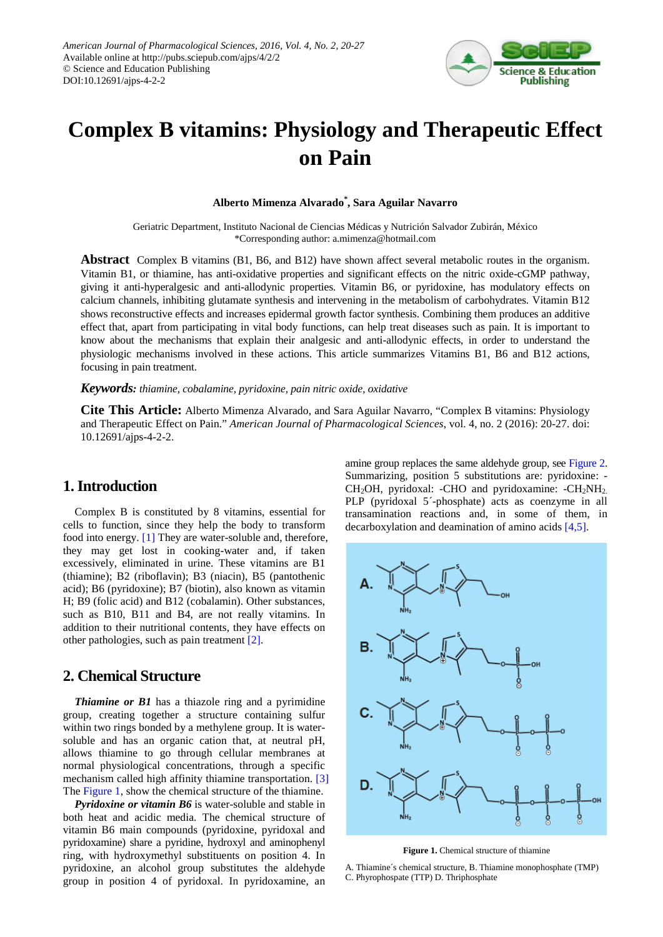

# **Complex B vitamins: Physiology and Therapeutic Effect on Pain**

**Alberto Mimenza Alvarado\* , Sara Aguilar Navarro**

Geriatric Department, Instituto Nacional de Ciencias Médicas y Nutrición Salvador Zubirán, México \*Corresponding author: a.mimenza@hotmail.com

**Abstract** Complex B vitamins (B1, B6, and B12) have shown affect several metabolic routes in the organism. Vitamin B1, or thiamine, has anti-oxidative properties and significant effects on the nitric oxide-cGMP pathway, giving it anti-hyperalgesic and anti-allodynic properties. Vitamin B6, or pyridoxine, has modulatory effects on calcium channels, inhibiting glutamate synthesis and intervening in the metabolism of carbohydrates. Vitamin B12 shows reconstructive effects and increases epidermal growth factor synthesis. Combining them produces an additive effect that, apart from participating in vital body functions, can help treat diseases such as pain. It is important to know about the mechanisms that explain their analgesic and anti-allodynic effects, in order to understand the physiologic mechanisms involved in these actions. This article summarizes Vitamins B1, B6 and B12 actions, focusing in pain treatment.

*Keywords: thiamine, cobalamine, pyridoxine, pain nitric oxide, oxidative*

**Cite This Article:** Alberto Mimenza Alvarado, and Sara Aguilar Navarro, "Complex B vitamins: Physiology and Therapeutic Effect on Pain." *American Journal of Pharmacological Sciences*, vol. 4, no. 2 (2016): 20-27. doi: 10.12691/ajps-4-2-2.

# **1. Introduction**

Complex B is constituted by 8 vitamins, essential for cells to function, since they help the body to transform food into energy. [\[1\]](#page-6-0) They are water-soluble and, therefore, they may get lost in cooking-water and, if taken excessively, eliminated in urine. These vitamins are B1 (thiamine); B2 (riboflavin); B3 (niacin), B5 (pantothenic acid); B6 (pyridoxine); B7 (biotin), also known as vitamin H; B9 (folic acid) and B12 (cobalamin). Other substances, such as B10, B11 and B4, are not really vitamins. In addition to their nutritional contents, they have effects on other pathologies, such as pain treatment [\[2\].](#page-6-1)

## **2. Chemical Structure**

*Thiamine or B1* has a thiazole ring and a pyrimidine group, creating together a structure containing sulfur within two rings bonded by a methylene group. It is watersoluble and has an organic cation that, at neutral pH, allows thiamine to go through cellular membranes at normal physiological concentrations, through a specific mechanism called high affinity thiamine transportation. [\[3\]](#page-6-2) Th[e Figure 1,](#page-0-0) show the chemical structure of the thiamine.

*Pyridoxine or vitamin B6* is water-soluble and stable in both heat and acidic media. The chemical structure of vitamin B6 main compounds (pyridoxine, pyridoxal and pyridoxamine) share a pyridine, hydroxyl and aminophenyl ring, with hydroxymethyl substituents on position 4. In pyridoxine, an alcohol group substitutes the aldehyde group in position 4 of pyridoxal. In pyridoxamine, an

amine group replaces the same aldehyde group, see [Figure 2.](#page-1-0) Summarizing, position 5 substitutions are: pyridoxine: -  $CH<sub>2</sub>OH$ , pyridoxal: -CHO and pyridoxamine: -CH<sub>2</sub>NH<sub>2</sub>. PLP (pyridoxal 5´-phosphate) acts as coenzyme in all transamination reactions and, in some of them, in decarboxylation and deamination of amino acids [\[4,5\].](#page-6-3)

<span id="page-0-0"></span>

**Figure 1.** Chemical structure of thiamine

A. Thiamine´s chemical structure, B. Thiamine monophosphate (TMP) C. Phyrophospate (TTP) D. Thriphosphate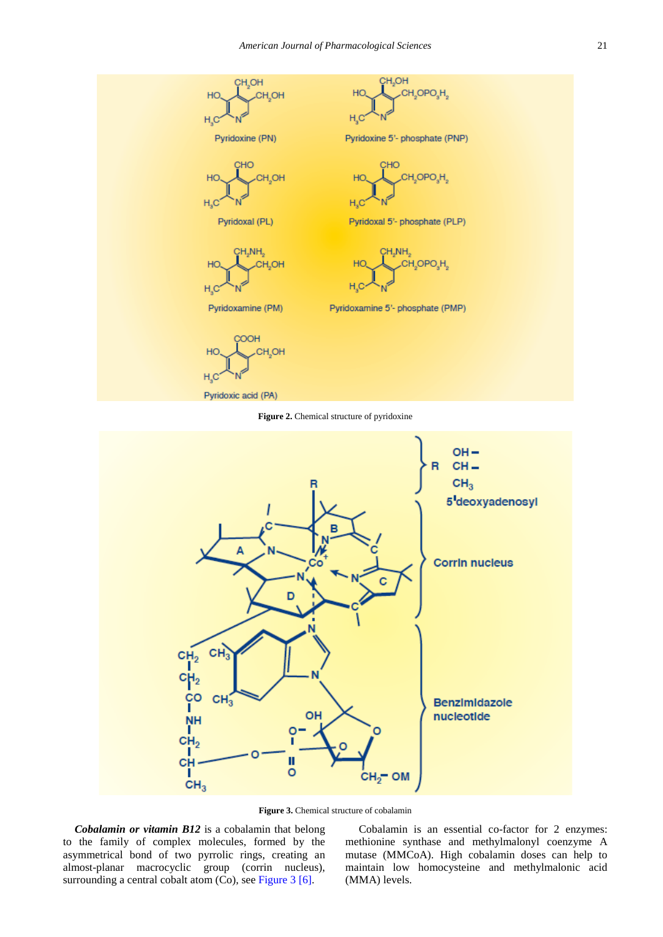<span id="page-1-0"></span>

Figure 2. Chemical structure of pyridoxine

<span id="page-1-1"></span>

**Figure 3.** Chemical structure of cobalamin

*Cobalamin or vitamin B12* is a cobalamin that belong to the family of complex molecules, formed by the asymmetrical bond of two pyrrolic rings, creating an almost-planar macrocyclic group (corrin nucleus), surrounding a central cobalt atom (Co), see [Figure 3](#page-1-1) [\[6\].](#page-6-4)

Cobalamin is an essential co-factor for 2 enzymes: methionine synthase and methylmalonyl coenzyme A mutase (MMCoA). High cobalamin doses can help to maintain low homocysteine and methylmalonic acid (MMA) levels.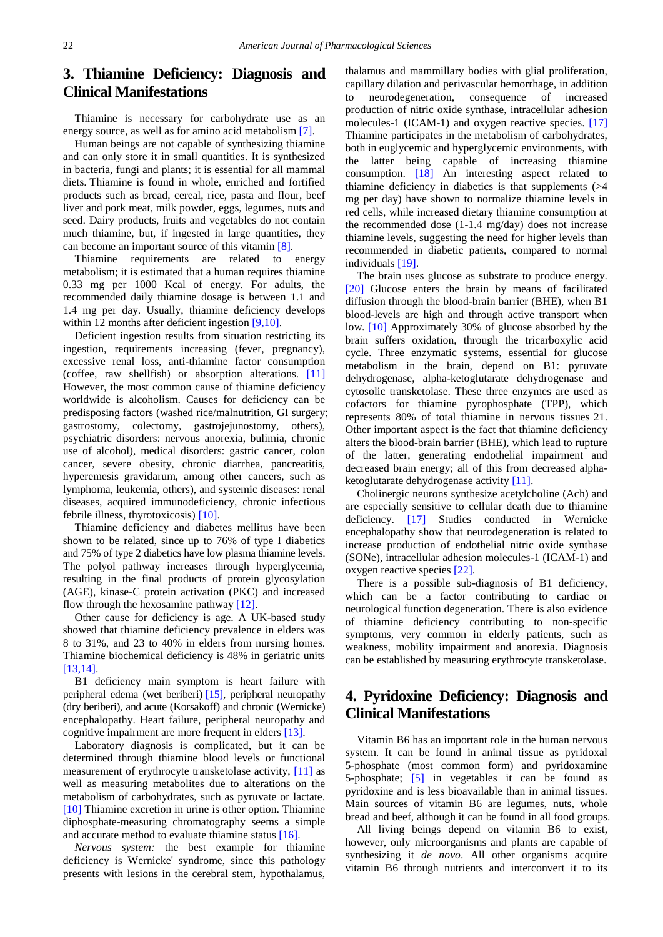# **3. Thiamine Deficiency: Diagnosis and Clinical Manifestations**

Thiamine is necessary for carbohydrate use as an energy source, as well as for amino acid metabolism [\[7\].](#page-6-5)

Human beings are not capable of synthesizing thiamine and can only store it in small quantities. It is synthesized in bacteria, fungi and plants; it is essential for all mammal diets. Thiamine is found in whole, enriched and fortified products such as bread, cereal, rice, pasta and flour, beef liver and pork meat, milk powder, eggs, legumes, nuts and seed. Dairy products, fruits and vegetables do not contain much thiamine, but, if ingested in large quantities, they can become an important source of this vitamin [\[8\].](#page-6-6)

Thiamine requirements are related to energy metabolism; it is estimated that a human requires thiamine 0.33 mg per 1000 Kcal of energy. For adults, the recommended daily thiamine dosage is between 1.1 and 1.4 mg per day. Usually, thiamine deficiency develops within 12 months after deficient ingestion [\[9,10\].](#page-6-7)

Deficient ingestion results from situation restricting its ingestion, requirements increasing (fever, pregnancy), excessive renal loss, anti-thiamine factor consumption (coffee, raw shellfish) or absorption alterations. [\[11\]](#page-6-8) However, the most common cause of thiamine deficiency worldwide is alcoholism. Causes for deficiency can be predisposing factors (washed rice/malnutrition, GI surgery; gastrostomy, colectomy, gastrojejunostomy, others), psychiatric disorders: nervous anorexia, bulimia, chronic use of alcohol), medical disorders: gastric cancer, colon cancer, severe obesity, chronic diarrhea, pancreatitis, hyperemesis gravidarum, among other cancers, such as lymphoma, leukemia, others), and systemic diseases: renal diseases, acquired immunodeficiency, chronic infectious febrile illness, thyrotoxicosis) [\[10\].](#page-6-9)

Thiamine deficiency and diabetes mellitus have been shown to be related, since up to 76% of type I diabetics and 75% of type 2 diabetics have low plasma thiamine levels. The polyol pathway increases through hyperglycemia, resulting in the final products of protein glycosylation (AGE), kinase-C protein activation (PKC) and increased flow through the hexosamine pathway [\[12\].](#page-6-10)

Other cause for deficiency is age. A UK-based study showed that thiamine deficiency prevalence in elders was 8 to 31%, and 23 to 40% in elders from nursing homes. Thiamine biochemical deficiency is 48% in geriatric units [\[13,14\].](#page-6-11)

B1 deficiency main symptom is heart failure with peripheral edema (wet beriberi) [\[15\],](#page-6-12) peripheral neuropathy (dry beriberi), and acute (Korsakoff) and chronic (Wernicke) encephalopathy. Heart failure, peripheral neuropathy and cognitive impairment are more frequent in elders [\[13\].](#page-6-11)

Laboratory diagnosis is complicated, but it can be determined through thiamine blood levels or functional measurement of erythrocyte transketolase activity, [\[11\]](#page-6-8) as well as measuring metabolites due to alterations on the metabolism of carbohydrates, such as pyruvate or lactate. [\[10\]](#page-6-9) Thiamine excretion in urine is other option. Thiamine diphosphate-measuring chromatography seems a simple and accurate method to evaluate thiamine status [\[16\].](#page-6-13)

*Nervous system:* the best example for thiamine deficiency is Wernicke' syndrome, since this pathology presents with lesions in the cerebral stem, hypothalamus, thalamus and mammillary bodies with glial proliferation, capillary dilation and perivascular hemorrhage, in addition to neurodegeneration, consequence of increased production of nitric oxide synthase, intracellular adhesion molecules-1 (ICAM-1) and oxygen reactive species. [\[17\]](#page-6-14) Thiamine participates in the metabolism of carbohydrates, both in euglycemic and hyperglycemic environments, with the latter being capable of increasing thiamine consumption. [\[18\]](#page-6-15) An interesting aspect related to thiamine deficiency in diabetics is that supplements (>4 mg per day) have shown to normalize thiamine levels in red cells, while increased dietary thiamine consumption at the recommended dose (1-1.4 mg/day) does not increase thiamine levels, suggesting the need for higher levels than recommended in diabetic patients, compared to normal individuals [\[19\].](#page-6-16)

The brain uses glucose as substrate to produce energy. [\[20\]](#page-6-17) Glucose enters the brain by means of facilitated diffusion through the blood-brain barrier (BHE), when B1 blood-levels are high and through active transport when low. [\[10\]](#page-6-9) Approximately 30% of glucose absorbed by the brain suffers oxidation, through the tricarboxylic acid cycle. Three enzymatic systems, essential for glucose metabolism in the brain, depend on B1: pyruvate dehydrogenase, alpha-ketoglutarate dehydrogenase and cytosolic transketolase. These three enzymes are used as cofactors for thiamine pyrophosphate (TPP), which represents 80% of total thiamine in nervous tissues 21. Other important aspect is the fact that thiamine deficiency alters the blood-brain barrier (BHE), which lead to rupture of the latter, generating endothelial impairment and decreased brain energy; all of this from decreased alphaketoglutarate dehydrogenase activity [\[11\].](#page-6-8)

Cholinergic neurons synthesize acetylcholine (Ach) and are especially sensitive to cellular death due to thiamine deficiency. [\[17\]](#page-6-14) Studies conducted in Wernicke encephalopathy show that neurodegeneration is related to increase production of endothelial nitric oxide synthase (SONe), intracellular adhesion molecules-1 (ICAM-1) and oxygen reactive species [\[22\].](#page-6-18)

There is a possible sub-diagnosis of B1 deficiency, which can be a factor contributing to cardiac or neurological function degeneration. There is also evidence of thiamine deficiency contributing to non-specific symptoms, very common in elderly patients, such as weakness, mobility impairment and anorexia. Diagnosis can be established by measuring erythrocyte transketolase.

# **4. Pyridoxine Deficiency: Diagnosis and Clinical Manifestations**

Vitamin B6 has an important role in the human nervous system. It can be found in animal tissue as pyridoxal 5-phosphate (most common form) and pyridoxamine 5-phosphate; [\[5\]](#page-6-19) in vegetables it can be found as pyridoxine and is less bioavailable than in animal tissues. Main sources of vitamin B6 are legumes, nuts, whole bread and beef, although it can be found in all food groups.

All living beings depend on vitamin B6 to exist, however, only microorganisms and plants are capable of synthesizing it *de novo*. All other organisms acquire vitamin B6 through nutrients and interconvert it to its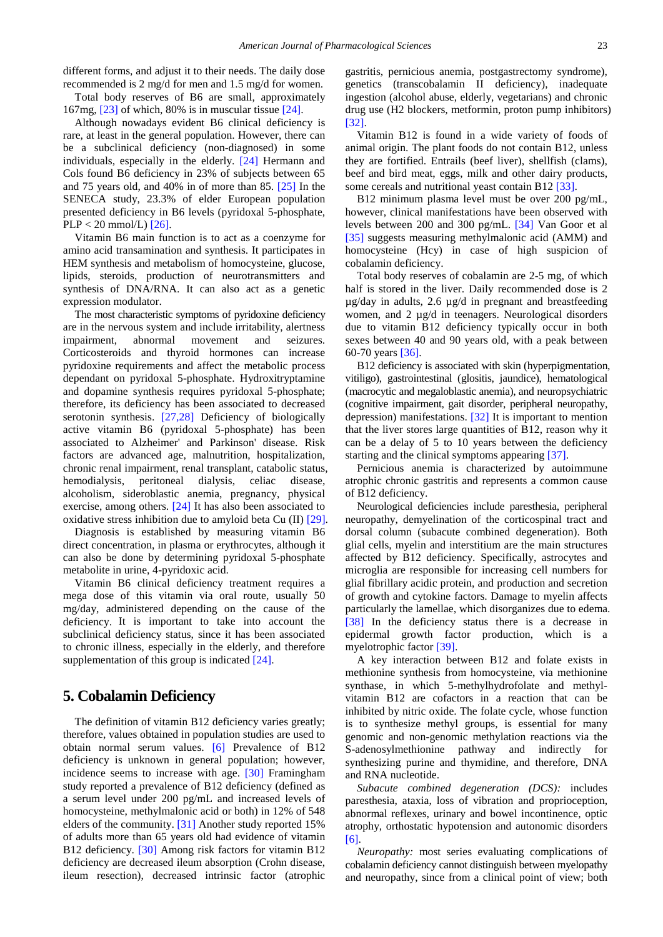different forms, and adjust it to their needs. The daily dose recommended is 2 mg/d for men and 1.5 mg/d for women.

Total body reserves of B6 are small, approximately  $167mg$ ,  $[23]$  of which,  $80\%$  is in muscular tissue  $[24]$ .

Although nowadays evident B6 clinical deficiency is rare, at least in the general population. However, there can be a subclinical deficiency (non-diagnosed) in some individuals, especially in the elderly. [\[24\]](#page-7-1) Hermann and Cols found B6 deficiency in 23% of subjects between 65 and 75 years old, and 40% in of more than 85. [\[25\]](#page-7-2) In the SENECA study, 23.3% of elder European population presented deficiency in B6 levels (pyridoxal 5-phosphate,  $PLP < 20$  mmol/L) [\[26\].](#page-7-3)

Vitamin B6 main function is to act as a coenzyme for amino acid transamination and synthesis. It participates in HEM synthesis and metabolism of homocysteine, glucose, lipids, steroids, production of neurotransmitters and synthesis of DNA/RNA. It can also act as a genetic expression modulator.

The most characteristic symptoms of pyridoxine deficiency are in the nervous system and include irritability, alertness impairment, abnormal movement and seizures. Corticosteroids and thyroid hormones can increase pyridoxine requirements and affect the metabolic process dependant on pyridoxal 5-phosphate. Hydroxitryptamine and dopamine synthesis requires pyridoxal 5-phosphate; therefore, its deficiency has been associated to decreased serotonin synthesis. [\[27,28\]](#page-7-4) Deficiency of biologically active vitamin B6 (pyridoxal 5-phosphate) has been associated to Alzheimer' and Parkinson' disease. Risk factors are advanced age, malnutrition, hospitalization, chronic renal impairment, renal transplant, catabolic status, hemodialysis, peritoneal dialysis, celiac disease, alcoholism, sideroblastic anemia, pregnancy, physical exercise, among others. [\[24\]](#page-7-1) It has also been associated to oxidative stress inhibition due to amyloid beta Cu (II) [\[29\].](#page-7-5)

Diagnosis is established by measuring vitamin B6 direct concentration, in plasma or erythrocytes, although it can also be done by determining pyridoxal 5-phosphate metabolite in urine, 4-pyridoxic acid.

Vitamin B6 clinical deficiency treatment requires a mega dose of this vitamin via oral route, usually 50 mg/day, administered depending on the cause of the deficiency. It is important to take into account the subclinical deficiency status, since it has been associated to chronic illness, especially in the elderly, and therefore supplementation of this group is indicated [\[24\].](#page-7-1)

### **5. Cobalamin Deficiency**

The definition of vitamin B12 deficiency varies greatly; therefore, values obtained in population studies are used to obtain normal serum values. [\[6\]](#page-6-4) Prevalence of B12 deficiency is unknown in general population; however, incidence seems to increase with age. [\[30\]](#page-7-6) Framingham study reported a prevalence of B12 deficiency (defined as a serum level under 200 pg/mL and increased levels of homocysteine, methylmalonic acid or both) in 12% of 548 elders of the community. [\[31\]](#page-7-7) Another study reported 15% of adults more than 65 years old had evidence of vitamin B12 deficiency. [\[30\]](#page-7-6) Among risk factors for vitamin B12 deficiency are decreased ileum absorption (Crohn disease, ileum resection), decreased intrinsic factor (atrophic gastritis, pernicious anemia, postgastrectomy syndrome), genetics (transcobalamin II deficiency), inadequate ingestion (alcohol abuse, elderly, vegetarians) and chronic drug use (H2 blockers, metformin, proton pump inhibitors) [\[32\].](#page-7-8)

Vitamin B12 is found in a wide variety of foods of animal origin. The plant foods do not contain B12, unless they are fortified. Entrails (beef liver), shellfish (clams), beef and bird meat, eggs, milk and other dairy products, some cereals and nutritional yeast contain B12 [\[33\].](#page-7-9)

B12 minimum plasma level must be over 200 pg/mL, however, clinical manifestations have been observed with levels between 200 and 300 pg/mL. [\[34\]](#page-7-10) Van Goor et al [\[35\]](#page-7-11) suggests measuring methylmalonic acid (AMM) and homocysteine (Hcy) in case of high suspicion of cobalamin deficiency.

Total body reserves of cobalamin are 2-5 mg, of which half is stored in the liver. Daily recommended dose is 2  $\mu$ g/day in adults, 2.6  $\mu$ g/d in pregnant and breastfeeding women, and 2 µg/d in teenagers. Neurological disorders due to vitamin B12 deficiency typically occur in both sexes between 40 and 90 years old, with a peak between 60-70 year[s \[36\].](#page-7-12)

B12 deficiency is associated with skin (hyperpigmentation, vitiligo), gastrointestinal (glositis, jaundice), hematological (macrocytic and megaloblastic anemia), and neuropsychiatric (cognitive impairment, gait disorder, peripheral neuropathy, depression) manifestations. [\[32\]](#page-7-8) It is important to mention that the liver stores large quantities of B12, reason why it can be a delay of 5 to 10 years between the deficiency starting and the clinical symptoms appearing [\[37\].](#page-7-13)

Pernicious anemia is characterized by autoimmune atrophic chronic gastritis and represents a common cause of B12 deficiency.

Neurological deficiencies include paresthesia, peripheral neuropathy, demyelination of the corticospinal tract and dorsal column (subacute combined degeneration). Both glial cells, myelin and interstitium are the main structures affected by B12 deficiency. Specifically, astrocytes and microglia are responsible for increasing cell numbers for glial fibrillary acidic protein, and production and secretion of growth and cytokine factors. Damage to myelin affects particularly the lamellae, which disorganizes due to edema. [\[38\]](#page-7-14) In the deficiency status there is a decrease in epidermal growth factor production, which is a myelotrophic factor [\[39\].](#page-7-15)

A key interaction between B12 and folate exists in methionine synthesis from homocysteine, via methionine synthase, in which 5-methylhydrofolate and methylvitamin B12 are cofactors in a reaction that can be inhibited by nitric oxide. The folate cycle, whose function is to synthesize methyl groups, is essential for many genomic and non-genomic methylation reactions via the S-adenosylmethionine pathway and indirectly for synthesizing purine and thymidine, and therefore, DNA and RNA nucleotide.

*Subacute combined degeneration (DCS):* includes paresthesia, ataxia, loss of vibration and proprioception, abnormal reflexes, urinary and bowel incontinence, optic atrophy, orthostatic hypotension and autonomic disorders [\[6\].](#page-6-4)

*Neuropathy:* most series evaluating complications of cobalamin deficiency cannot distinguish between myelopathy and neuropathy, since from a clinical point of view; both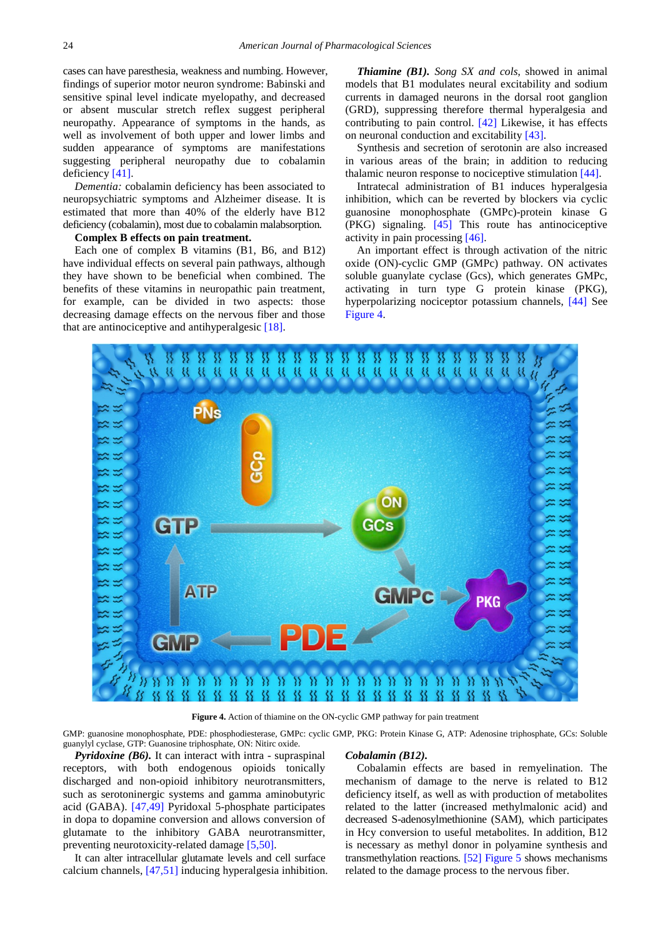cases can have paresthesia, weakness and numbing. However, findings of superior motor neuron syndrome: Babinski and sensitive spinal level indicate myelopathy, and decreased or absent muscular stretch reflex suggest peripheral neuropathy. Appearance of symptoms in the hands, as well as involvement of both upper and lower limbs and sudden appearance of symptoms are manifestations suggesting peripheral neuropathy due to cobalamin deficiency [\[41\].](#page-7-16)

*Dementia:* cobalamin deficiency has been associated to neuropsychiatric symptoms and Alzheimer disease. It is estimated that more than 40% of the elderly have B12 deficiency (cobalamin), most due to cobalamin malabsorption.

#### **Complex B effects on pain treatment.**

Each one of complex B vitamins (B1, B6, and B12) have individual effects on several pain pathways, although they have shown to be beneficial when combined. The benefits of these vitamins in neuropathic pain treatment, for example, can be divided in two aspects: those decreasing damage effects on the nervous fiber and those that are antinociceptive and antihyperalgesic [\[18\].](#page-6-15)

*Thiamine (B1). Song SX and cols*, showed in animal models that B1 modulates neural excitability and sodium currents in damaged neurons in the dorsal root ganglion (GRD), suppressing therefore thermal hyperalgesia and contributing to pain control. [\[42\]](#page-7-17) Likewise, it has effects on neuronal conduction and excitabilit[y \[43\].](#page-7-18)

Synthesis and secretion of serotonin are also increased in various areas of the brain; in addition to reducing thalamic neuron response to nociceptive stimulation [\[44\].](#page-7-19)

Intratecal administration of B1 induces hyperalgesia inhibition, which can be reverted by blockers via cyclic guanosine monophosphate (GMPc)-protein kinase G (PKG) signaling. [\[45\]](#page-7-20) This route has antinociceptive activity in pain processing [\[46\].](#page-7-21)

An important effect is through activation of the nitric oxide (ON)-cyclic GMP (GMPc) pathway. ON activates soluble guanylate cyclase (Gcs), which generates GMPc, activating in turn type G protein kinase (PKG), hyperpolarizing nociceptor potassium channels, [\[44\]](#page-7-19) See [Figure 4.](#page-4-0)

<span id="page-4-0"></span>

**Figure 4.** Action of thiamine on the ON-cyclic GMP pathway for pain treatment

GMP: guanosine monophosphate, PDE: phosphodiesterase, GMPc: cyclic GMP, PKG: Protein Kinase G, ATP: Adenosine triphosphate, GCs: Soluble guanylyl cyclase, GTP: Guanosine triphosphate, ON: Nitirc oxide.

*Pyridoxine (B6).* It can interact with intra - supraspinal receptors, with both endogenous opioids tonically discharged and non-opioid inhibitory neurotransmitters, such as serotoninergic systems and gamma aminobutyric acid (GABA). [\[47,49\]](#page-7-22) Pyridoxal 5-phosphate participates in dopa to dopamine conversion and allows conversion of glutamate to the inhibitory GABA neurotransmitter, preventing neurotoxicity-related damage [\[5,50\].](#page-6-19)

It can alter intracellular glutamate levels and cell surface calcium channels, [\[47,51\]](#page-7-22) inducing hyperalgesia inhibition.

#### *Cobalamin (B12).*

Cobalamin effects are based in remyelination. The mechanism of damage to the nerve is related to B12 deficiency itself, as well as with production of metabolites related to the latter (increased methylmalonic acid) and decreased S-adenosylmethionine (SAM), which participates in Hcy conversion to useful metabolites. In addition, B12 is necessary as methyl donor in polyamine synthesis and transmethylation reactions. [\[52\]](#page-7-23) [Figure 5](#page-5-0) shows mechanisms related to the damage process to the nervous fiber.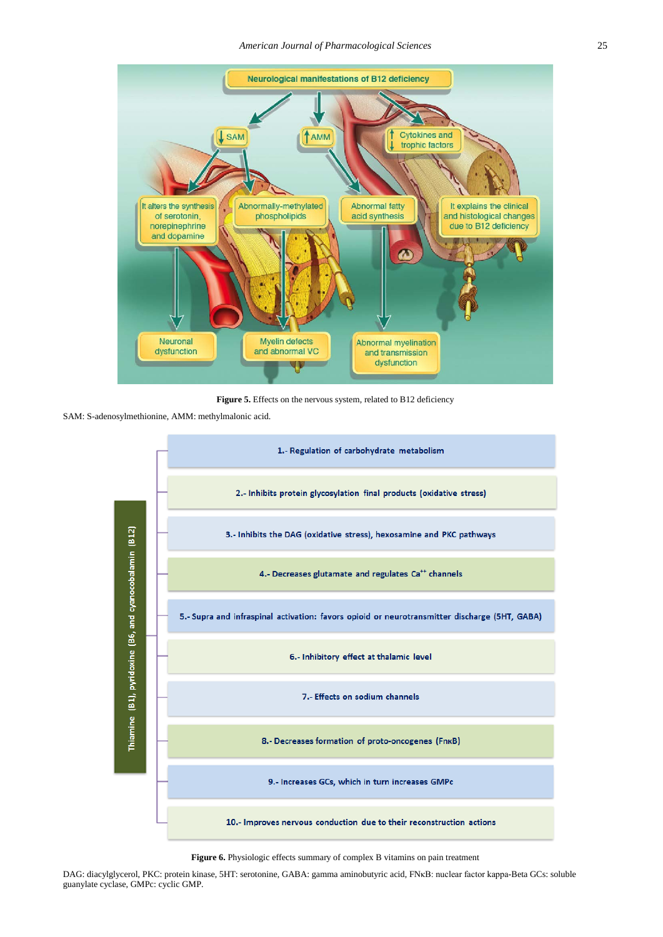<span id="page-5-0"></span>

Figure 5. Effects on the nervous system, related to B12 deficiency

<span id="page-5-1"></span>SAM: S-adenosylmethionine, AMM: methylmalonic acid.



Figure 6. Physiologic effects summary of complex B vitamins on pain treatment

DAG: diacylglycerol, PKC: protein kinase, 5HT: serotonine, GABA: gamma aminobutyric acid, FNκB: nuclear factor kappa-Beta GCs: soluble guanylate cyclase, GMPc: cyclic GMP.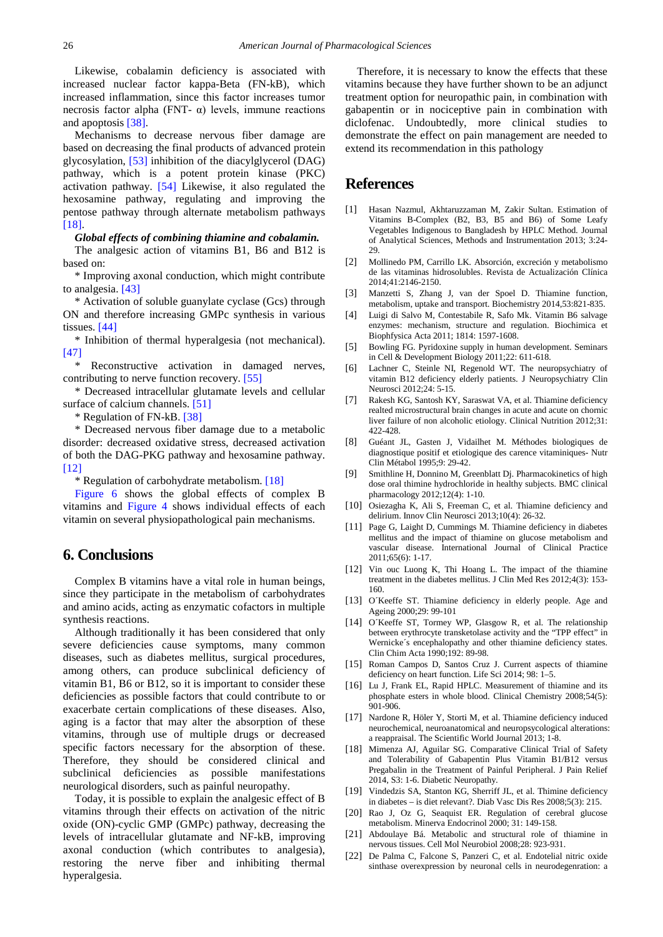Likewise, cobalamin deficiency is associated with increased nuclear factor kappa-Beta (FN-kB), which increased inflammation, since this factor increases tumor necrosis factor alpha (FNT- $\alpha$ ) levels, immune reactions and apoptosis [\[38\].](#page-7-14)

Mechanisms to decrease nervous fiber damage are based on decreasing the final products of advanced protein glycosylation, [\[53\]](#page-7-24) inhibition of the diacylglycerol (DAG) pathway, which is a potent protein kinase (PKC) activation pathway. [\[54\]](#page-7-25) Likewise, it also regulated the hexosamine pathway, regulating and improving the pentose pathway through alternate metabolism pathways [\[18\].](#page-6-15)

#### *Global effects of combining thiamine and cobalamin.*

The analgesic action of vitamins B1, B6 and B12 is based on:

\* Improving axonal conduction, which might contribute to analgesia. [\[43\]](#page-7-18)

\* Activation of soluble guanylate cyclase (Gcs) through ON and therefore increasing GMPc synthesis in various tissues. [\[44\]](#page-7-19)

\* Inhibition of thermal hyperalgesia (not mechanical). [\[47\]](#page-7-22)

Reconstructive activation in damaged nerves, contributing to nerve function recovery. [\[55\]](#page-7-26)

\* Decreased intracellular glutamate levels and cellular surface of calcium channels. [\[51\]](#page-7-27)

\* Regulation of FN-kB[. \[38\]](#page-7-14)

\* Decreased nervous fiber damage due to a metabolic disorder: decreased oxidative stress, decreased activation of both the DAG-PKG pathway and hexosamine pathway. [\[12\]](#page-6-10)

\* Regulation of carbohydrate metabolism. [\[18\]](#page-6-15)

[Figure 6](#page-5-1) shows the global effects of complex B vitamins and [Figure 4](#page-4-0) shows individual effects of each vitamin on several physiopathological pain mechanisms.

# **6. Conclusions**

Complex B vitamins have a vital role in human beings, since they participate in the metabolism of carbohydrates and amino acids, acting as enzymatic cofactors in multiple synthesis reactions.

Although traditionally it has been considered that only severe deficiencies cause symptoms, many common diseases, such as diabetes mellitus, surgical procedures, among others, can produce subclinical deficiency of vitamin B1, B6 or B12, so it is important to consider these deficiencies as possible factors that could contribute to or exacerbate certain complications of these diseases. Also, aging is a factor that may alter the absorption of these vitamins, through use of multiple drugs or decreased specific factors necessary for the absorption of these. Therefore, they should be considered clinical and subclinical deficiencies as possible manifestations neurological disorders, such as painful neuropathy.

Today, it is possible to explain the analgesic effect of B vitamins through their effects on activation of the nitric oxide (ON)-cyclic GMP (GMPc) pathway, decreasing the levels of intracellular glutamate and NF-kB, improving axonal conduction (which contributes to analgesia), restoring the nerve fiber and inhibiting thermal hyperalgesia.

Therefore, it is necessary to know the effects that these vitamins because they have further shown to be an adjunct treatment option for neuropathic pain, in combination with gabapentin or in nociceptive pain in combination with diclofenac. Undoubtedly, more clinical studies to demonstrate the effect on pain management are needed to extend its recommendation in this pathology

## **References**

- <span id="page-6-0"></span>[1] Hasan Nazmul, Akhtaruzzaman M, Zakir Sultan. Estimation of Vitamins B-Complex (B2, B3, B5 and B6) of Some Leafy Vegetables Indigenous to Bangladesh by HPLC Method. Journal of Analytical Sciences, Methods and Instrumentation 2013; 3:24- 29.
- <span id="page-6-1"></span>[2] Mollinedo PM, Carrillo LK. Absorción, excreción y metabolismo de las vitaminas hidrosolubles. Revista de Actualización Clínica 2014;41:2146-2150.
- <span id="page-6-2"></span>[3] Manzetti S, Zhang J, van der Spoel D. Thiamine function, metabolism, uptake and transport. Biochemistry 2014,53:821-835.
- <span id="page-6-3"></span>[4] Luigi di Salvo M, Contestabile R, Safo Mk. Vitamin B6 salvage enzymes: mechanism, structure and regulation. Biochimica et Biophfysica Acta 2011; 1814: 1597-1608.
- <span id="page-6-19"></span>[5] Bowling FG. Pyridoxine supply in human development. Seminars in Cell & Development Biology 2011;22: 611-618.
- <span id="page-6-4"></span>[6] Lachner C, Steinle NI, Regenold WT. The neuropsychiatry of vitamin B12 deficiency elderly patients. J Neuropsychiatry Clin Neurosci 2012;24: 5-15.
- <span id="page-6-5"></span>[7] Rakesh KG, Santosh KY, Saraswat VA, et al. Thiamine deficiency realted microstructural brain changes in acute and acute on chornic liver failure of non alcoholic etiology. Clinical Nutrition 2012;31: 422-428.
- <span id="page-6-6"></span>[8] Guéant JL, Gasten J, Vidailhet M. Méthodes biologiques de diagnostique positif et etiologique des carence vitaminiques- Nutr Clin Métabol 1995;9: 29-42.
- <span id="page-6-7"></span>[9] Smithline H, Donnino M, Greenblatt Dj. Pharmacokinetics of high dose oral thimine hydrochloride in healthy subjects. BMC clinical pharmacology 2012;12(4): 1-10.
- <span id="page-6-9"></span>[10] Osiezagha K, Ali S, Freeman C, et al. Thiamine deficiency and delirium. Innov Clin Neurosci 2013;10(4): 26-32.
- <span id="page-6-8"></span>[11] Page G, Laight D, Cummings M. Thiamine deficiency in diabetes mellitus and the impact of thiamine on glucose metabolism and vascular disease. International Journal of Clinical Practice 2011;65(6): 1-17.
- <span id="page-6-10"></span>[12] Vin ouc Luong K, Thi Hoang L. The impact of the thiamine treatment in the diabetes mellitus. J Clin Med Res 2012;4(3): 153- 160.
- <span id="page-6-11"></span>[13] O´Keeffe ST. Thiamine deficiency in elderly people. Age and Ageing 2000;29: 99-101
- [14] O´Keeffe ST, Tormey WP, Glasgow R, et al. The relationship between erythrocyte transketolase activity and the "TPP effect" in Wernicke's encephalopathy and other thiamine deficiency states. Clin Chim Acta 1990;192: 89-98.
- <span id="page-6-12"></span>[15] Roman Campos D, Santos Cruz J. Current aspects of thiamine deficiency on heart function. Life Sci 2014; 98: 1–5.
- <span id="page-6-13"></span>[16] Lu J, Frank EL, Rapid HPLC. Measurement of thiamine and its phosphate esters in whole blood. Clinical Chemistry 2008;54(5): 901-906.
- <span id="page-6-14"></span>[17] Nardone R, Höler Y, Storti M, et al. Thiamine deficiency induced neurochemical, neuroanatomical and neuropsycological alterations: a reappraisal. The Scientific World Journal 2013; 1-8.
- <span id="page-6-15"></span>[18] Mimenza AJ, Aguilar SG. Comparative Clinical Trial of Safety and Tolerability of Gabapentin Plus Vitamin B1/B12 versus Pregabalin in the Treatment of Painful Peripheral. J Pain Relief 2014, S3: 1-6. Diabetic Neuropathy.
- <span id="page-6-16"></span>[19] Vindedzis SA, Stanton KG, Sherriff JL, et al. Thimine deficiency in diabetes – is diet relevant?. Diab Vasc Dis Res 2008;5(3): 215.
- <span id="page-6-17"></span>[20] Rao J, Oz G, Seaquist ER. Regulation of cerebral glucose metabolism. Minerva Endocrinol 2000; 31: 149-158.
- [21] Abdoulaye Bá. Metabolic and structural role of thiamine in nervous tissues. Cell Mol Neurobiol 2008;28: 923-931.
- <span id="page-6-18"></span>[22] De Palma C, Falcone S, Panzeri C, et al. Endotelial nitric oxide sinthase overexpression by neuronal cells in neurodegenration: a